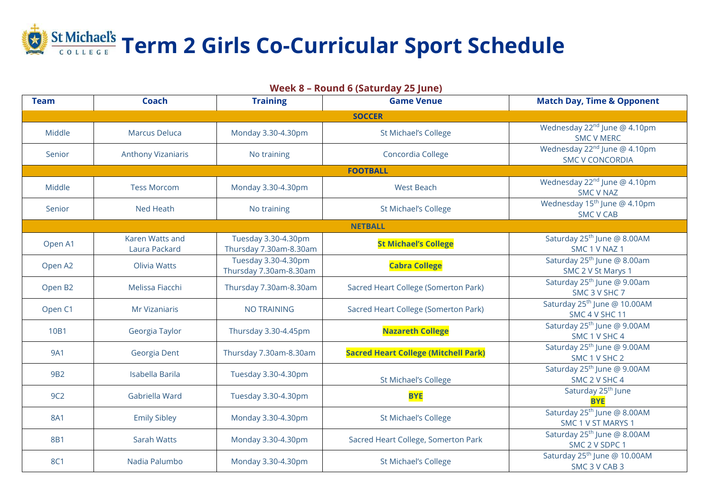

Wednesday 22<sup>nd</sup> June @ 4.10pm SMC V MERC Wednesday 22<sup>nd</sup> June @ 4.10pm SMC V CONCORDIA

Wednesday 22<sup>nd</sup> June @ 4.10pm SMC V NAZ Wednesday 15<sup>th</sup> June @ 4.10pm SMC V CAB

Saturday 25<sup>th</sup> June @ 8.00AM SMC 1 V NAZ 1 Saturday 25<sup>th</sup> June @ 8.00am SMC 2 V St Marys 1 Saturday 25<sup>th</sup> June @ 9.00am SMC 3 V SHC 7 Saturday 25<sup>th</sup> June @ 10.00AM SMC 4 V SHC 11 Saturday 25<sup>th</sup> June @ 9.00AM SMC 1 V SHC 4 Saturday 25<sup>th</sup> June @ 9.00AM SMC 1 V SHC 2 Saturday 25<sup>th</sup> June @ 9.00AM SMC 2 V SHC 4 <sup>th</sup> June **BYE** Saturday 25<sup>th</sup> June @ 8.00AM SMC 1 V ST MARYS 1 Saturday 25<sup>th</sup> June @ 8.00AM SMC 2 V SDPC 1 Saturday 25<sup>th</sup> June @ 10.00AM SMC 3 V CAB 3

| <b>Coach</b><br><b>Team</b> |                                  | <b>Training</b><br><b>Game Venue</b>          |                                             | <b>Match Day, Time</b>                                           |
|-----------------------------|----------------------------------|-----------------------------------------------|---------------------------------------------|------------------------------------------------------------------|
|                             |                                  |                                               | <b>SOCCER</b>                               |                                                                  |
| <b>Middle</b>               | <b>Marcus Deluca</b>             | Monday 3.30-4.30pm                            | <b>St Michael's College</b>                 | Wednesday 22 <sup>nd</sup> Ju<br><b>SMC VM</b>                   |
| Senior                      | <b>Anthony Vizaniaris</b>        | No training                                   | Concordia College                           | Wednesday 22 <sup>nd</sup> Ju<br><b>SMC V CONO</b>               |
|                             |                                  |                                               | <b>FOOTBALL</b>                             |                                                                  |
| Middle                      | <b>Tess Morcom</b>               | Monday 3.30-4.30pm                            | <b>West Beach</b>                           | Wednesday 22 <sup>nd</sup> Ju<br><b>SMC V N</b>                  |
| Senior                      | <b>Ned Heath</b>                 | No training                                   | <b>St Michael's College</b>                 | Wednesday 15 <sup>th</sup> Ju<br><b>SMC V C</b>                  |
| <b>NETBALL</b>              |                                  |                                               |                                             |                                                                  |
| Open A1                     | Karen Watts and<br>Laura Packard | Tuesday 3.30-4.30pm<br>Thursday 7.30am-8.30am | <b>St Michael's College</b>                 | Saturday 25 <sup>th</sup> Jun<br>SMC <sub>1</sub> V <sub>N</sub> |
| Open A2                     | Olivia Watts                     | Tuesday 3.30-4.30pm<br>Thursday 7.30am-8.30am | <b>Cabra College</b>                        | Saturday 25 <sup>th</sup> Jun<br>SMC 2 V St N                    |
| Open B2                     | Melissa Fiacchi                  | Thursday 7.30am-8.30am                        | Sacred Heart College (Somerton Park)        | Saturday 25 <sup>th</sup> Jun<br>SMC <sub>3</sub> V <sub>S</sub> |
| Open C1                     | <b>Mr Vizaniaris</b>             | <b>NO TRAINING</b>                            | Sacred Heart College (Somerton Park)        | Saturday 25 <sup>th</sup> June<br>SMC 4 V SH                     |
| 10B1                        | Georgia Taylor                   | Thursday 3.30-4.45pm                          | <b>Nazareth College</b>                     | Saturday 25 <sup>th</sup> Jun<br>SMC <sub>1</sub> V <sub>S</sub> |
| <b>9A1</b>                  | Georgia Dent                     | Thursday 7.30am-8.30am                        | <b>Sacred Heart College (Mitchell Park)</b> | Saturday 25 <sup>th</sup> Jun<br>SMC <sub>1</sub> V <sub>S</sub> |
| <b>9B2</b>                  | <b>Isabella Barila</b>           | Tuesday 3.30-4.30pm                           | <b>St Michael's College</b>                 | Saturday 25 <sup>th</sup> Jun<br>SMC <sub>2</sub> V <sub>S</sub> |
| 9C2                         | Gabriella Ward                   | Tuesday 3.30-4.30pm                           | <b>BYE</b>                                  | Saturday 25<br><b>BYE</b>                                        |
| <b>8A1</b>                  | <b>Emily Sibley</b>              | Monday 3.30-4.30pm                            | <b>St Michael's College</b>                 | Saturday 25 <sup>th</sup> Jun<br>SMC 1 V ST N                    |
| 8B1                         | <b>Sarah Watts</b>               | Monday 3.30-4.30pm                            | Sacred Heart College, Somerton Park         | Saturday 25 <sup>th</sup> Jun<br>SMC 2 V SI                      |
| <b>8C1</b>                  | Nadia Palumbo                    | Monday 3.30-4.30pm                            | <b>St Michael's College</b>                 | Saturday 25 <sup>th</sup> June<br>SMC <sub>3</sub> VC            |

## **Match Day, Time & Opponent**